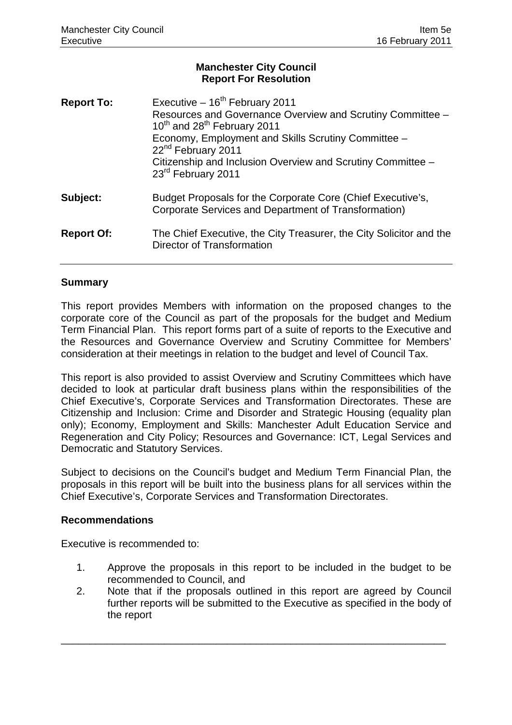# **Manchester City Council Report For Resolution**

| <b>Report To:</b> | Executive $-16^{th}$ February 2011<br>Resources and Governance Overview and Scrutiny Committee -<br>10 <sup>th</sup> and 28 <sup>th</sup> February 2011<br>Economy, Employment and Skills Scrutiny Committee -<br>22 <sup>nd</sup> February 2011<br>Citizenship and Inclusion Overview and Scrutiny Committee -<br>23rd February 2011 |
|-------------------|---------------------------------------------------------------------------------------------------------------------------------------------------------------------------------------------------------------------------------------------------------------------------------------------------------------------------------------|
| Subject:          | Budget Proposals for the Corporate Core (Chief Executive's,<br>Corporate Services and Department of Transformation)                                                                                                                                                                                                                   |
| <b>Report Of:</b> | The Chief Executive, the City Treasurer, the City Solicitor and the<br>Director of Transformation                                                                                                                                                                                                                                     |

## **Summary**

This report provides Members with information on the proposed changes to the corporate core of the Council as part of the proposals for the budget and Medium Term Financial Plan. This report forms part of a suite of reports to the Executive and the Resources and Governance Overview and Scrutiny Committee for Members' consideration at their meetings in relation to the budget and level of Council Tax.

This report is also provided to assist Overview and Scrutiny Committees which have decided to look at particular draft business plans within the responsibilities of the Chief Executive's, Corporate Services and Transformation Directorates. These are Citizenship and Inclusion: Crime and Disorder and Strategic Housing (equality plan only); Economy, Employment and Skills: Manchester Adult Education Service and Regeneration and City Policy; Resources and Governance: ICT, Legal Services and Democratic and Statutory Services.

Subject to decisions on the Council's budget and Medium Term Financial Plan, the proposals in this report will be built into the business plans for all services within the Chief Executive's, Corporate Services and Transformation Directorates.

### **Recommendations**

Executive is recommended to:

- 1. Approve the proposals in this report to be included in the budget to be recommended to Council, and
- 2. Note that if the proposals outlined in this report are agreed by Council further reports will be submitted to the Executive as specified in the body of the report

\_\_\_\_\_\_\_\_\_\_\_\_\_\_\_\_\_\_\_\_\_\_\_\_\_\_\_\_\_\_\_\_\_\_\_\_\_\_\_\_\_\_\_\_\_\_\_\_\_\_\_\_\_\_\_\_\_\_\_\_\_\_\_\_\_\_\_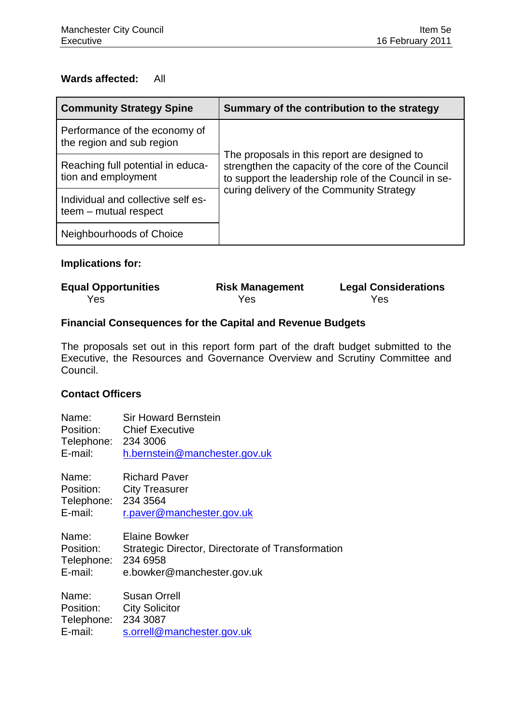## **Wards affected:** All

| <b>Community Strategy Spine</b>                             | Summary of the contribution to the strategy                                                                                                                |  |
|-------------------------------------------------------------|------------------------------------------------------------------------------------------------------------------------------------------------------------|--|
| Performance of the economy of<br>the region and sub region  |                                                                                                                                                            |  |
| Reaching full potential in educa-<br>tion and employment    | The proposals in this report are designed to<br>strengthen the capacity of the core of the Council<br>to support the leadership role of the Council in se- |  |
| Individual and collective self es-<br>teem - mutual respect | curing delivery of the Community Strategy                                                                                                                  |  |
| Neighbourhoods of Choice                                    |                                                                                                                                                            |  |

# **Implications for:**

| <b>Equal Opportunities</b> | <b>Risk Management</b> | <b>Legal Considerations</b> |
|----------------------------|------------------------|-----------------------------|
| Yes                        | Yes                    | Yes                         |

# **Financial Consequences for the Capital and Revenue Budgets**

The proposals set out in this report form part of the draft budget submitted to the Executive, the Resources and Governance Overview and Scrutiny Committee and Council.

# **Contact Officers**

| Name:                                                | <b>Sir Howard Bernstein</b>                                                                             |
|------------------------------------------------------|---------------------------------------------------------------------------------------------------------|
| Telephone: 234 3006                                  | Position: Chief Executive                                                                               |
| E-mail:                                              | h.bernstein@manchester.gov.uk                                                                           |
| Name:                                                | <b>Richard Paver</b>                                                                                    |
| Telephone: 234 3564                                  | Position: City Treasurer                                                                                |
| E-mail:                                              | r.paver@manchester.gov.uk                                                                               |
| Name:<br>Position:<br>Telephone: 234 6958<br>E-mail: | <b>Elaine Bowker</b><br>Strategic Director, Directorate of Transformation<br>e.bowker@manchester.gov.uk |
| Name:                                                | <b>Susan Orrell</b>                                                                                     |
| Telephone: 234 3087                                  | Position: City Solicitor                                                                                |
| E-mail:                                              | s.orrell@manchester.gov.uk                                                                              |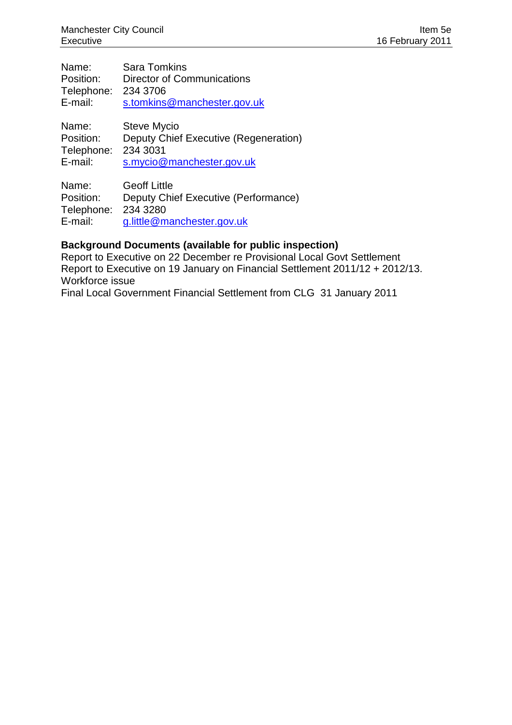| Name:      | <b>Sara Tomkins</b>                   |
|------------|---------------------------------------|
| Position:  | <b>Director of Communications</b>     |
| Telephone: | 234 3706                              |
| E-mail:    | s.tomkins@manchester.gov.uk           |
| Name:      | <b>Steve Mycio</b>                    |
| Position:  | Deputy Chief Executive (Regeneration) |
| Telephone: | 234 3031                              |
| E-mail:    | s.mycio@manchester.gov.uk             |

Name: Geoff Little Position: Deputy Chief Executive (Performance) Telephone: 234 3280 E-mail: g.little@manchester.gov.uk

### **Background Documents (available for public inspection)**

Report to Executive on 22 December re Provisional Local Govt Settlement Report to Executive on 19 January on Financial Settlement 2011/12 + 2012/13. Workforce issue

Final Local Government Financial Settlement from CLG 31 January 2011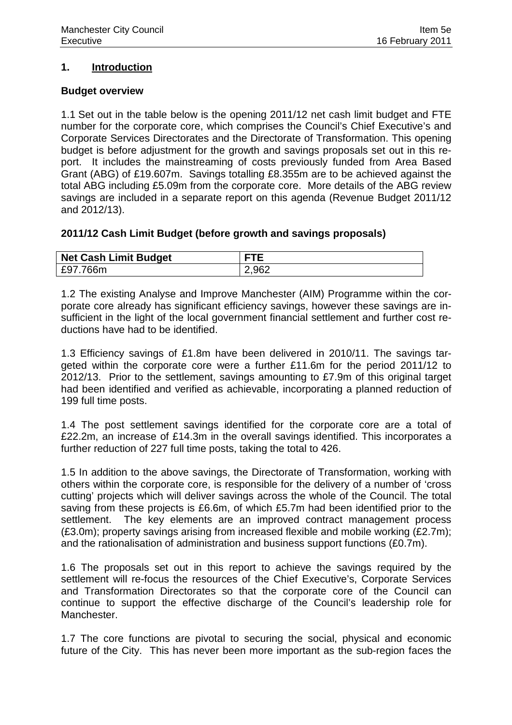### **1. Introduction**

#### **Budget overview**

1.1 Set out in the table below is the opening 2011/12 net cash limit budget and FTE number for the corporate core, which comprises the Council's Chief Executive's and Corporate Services Directorates and the Directorate of Transformation. This opening budget is before adjustment for the growth and savings proposals set out in this report. It includes the mainstreaming of costs previously funded from Area Based Grant (ABG) of £19.607m. Savings totalling £8.355m are to be achieved against the total ABG including £5.09m from the corporate core. More details of the ABG review savings are included in a separate report on this agenda (Revenue Budget 2011/12 and 2012/13).

### **2011/12 Cash Limit Budget (before growth and savings proposals)**

| <b>Net Cash Limit Budget</b> |       |
|------------------------------|-------|
| £97.766m                     | 2,962 |

1.2 The existing Analyse and Improve Manchester (AIM) Programme within the corporate core already has significant efficiency savings, however these savings are insufficient in the light of the local government financial settlement and further cost reductions have had to be identified.

1.3 Efficiency savings of £1.8m have been delivered in 2010/11. The savings targeted within the corporate core were a further £11.6m for the period 2011/12 to 2012/13. Prior to the settlement, savings amounting to £7.9m of this original target had been identified and verified as achievable, incorporating a planned reduction of 199 full time posts.

1.4 The post settlement savings identified for the corporate core are a total of £22.2m, an increase of £14.3m in the overall savings identified. This incorporates a further reduction of 227 full time posts, taking the total to 426.

1.5 In addition to the above savings, the Directorate of Transformation, working with others within the corporate core, is responsible for the delivery of a number of 'cross cutting' projects which will deliver savings across the whole of the Council. The total saving from these projects is £6.6m, of which £5.7m had been identified prior to the settlement. The key elements are an improved contract management process (£3.0m); property savings arising from increased flexible and mobile working (£2.7m); and the rationalisation of administration and business support functions (£0.7m).

1.6 The proposals set out in this report to achieve the savings required by the settlement will re-focus the resources of the Chief Executive's, Corporate Services and Transformation Directorates so that the corporate core of the Council can continue to support the effective discharge of the Council's leadership role for Manchester.

1.7 The core functions are pivotal to securing the social, physical and economic future of the City. This has never been more important as the sub-region faces the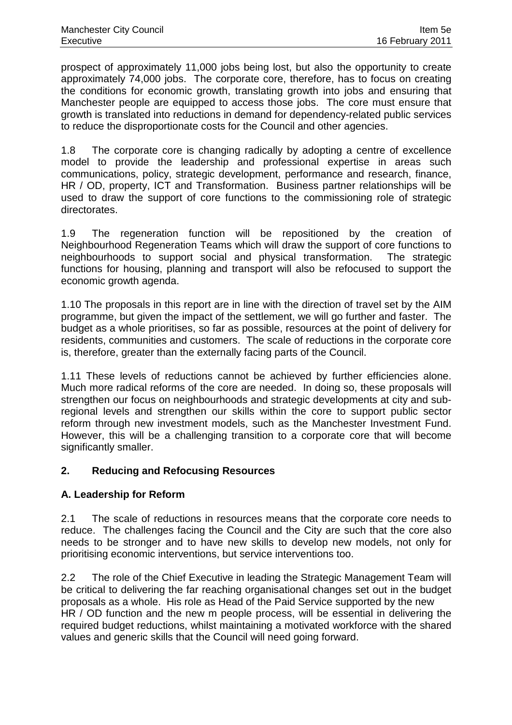prospect of approximately 11,000 jobs being lost, but also the opportunity to create approximately 74,000 jobs. The corporate core, therefore, has to focus on creating the conditions for economic growth, translating growth into jobs and ensuring that Manchester people are equipped to access those jobs. The core must ensure that growth is translated into reductions in demand for dependency-related public services to reduce the disproportionate costs for the Council and other agencies.

1.8 The corporate core is changing radically by adopting a centre of excellence model to provide the leadership and professional expertise in areas such communications, policy, strategic development, performance and research, finance, HR / OD, property, ICT and Transformation. Business partner relationships will be used to draw the support of core functions to the commissioning role of strategic directorates.

1.9 The regeneration function will be repositioned by the creation of Neighbourhood Regeneration Teams which will draw the support of core functions to neighbourhoods to support social and physical transformation. The strategic functions for housing, planning and transport will also be refocused to support the economic growth agenda.

1.10 The proposals in this report are in line with the direction of travel set by the AIM programme, but given the impact of the settlement, we will go further and faster. The budget as a whole prioritises, so far as possible, resources at the point of delivery for residents, communities and customers. The scale of reductions in the corporate core is, therefore, greater than the externally facing parts of the Council.

1.11 These levels of reductions cannot be achieved by further efficiencies alone. Much more radical reforms of the core are needed. In doing so, these proposals will strengthen our focus on neighbourhoods and strategic developments at city and subregional levels and strengthen our skills within the core to support public sector reform through new investment models, such as the Manchester Investment Fund. However, this will be a challenging transition to a corporate core that will become significantly smaller.

# **2. Reducing and Refocusing Resources**

# **A. Leadership for Reform**

2.1 The scale of reductions in resources means that the corporate core needs to reduce. The challenges facing the Council and the City are such that the core also needs to be stronger and to have new skills to develop new models, not only for prioritising economic interventions, but service interventions too.

2.2 The role of the Chief Executive in leading the Strategic Management Team will be critical to delivering the far reaching organisational changes set out in the budget proposals as a whole. His role as Head of the Paid Service supported by the new HR / OD function and the new m people process, will be essential in delivering the required budget reductions, whilst maintaining a motivated workforce with the shared values and generic skills that the Council will need going forward.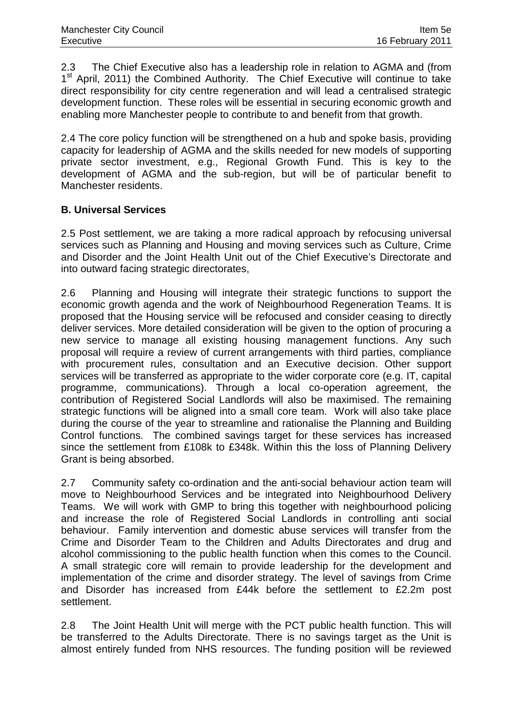2.3 The Chief Executive also has a leadership role in relation to AGMA and (from 1<sup>st</sup> April, 2011) the Combined Authority. The Chief Executive will continue to take direct responsibility for city centre regeneration and will lead a centralised strategic development function. These roles will be essential in securing economic growth and enabling more Manchester people to contribute to and benefit from that growth.

2.4 The core policy function will be strengthened on a hub and spoke basis, providing capacity for leadership of AGMA and the skills needed for new models of supporting private sector investment, e.g., Regional Growth Fund. This is key to the development of AGMA and the sub-region, but will be of particular benefit to Manchester residents.

# **B. Universal Services**

2.5 Post settlement, we are taking a more radical approach by refocusing universal services such as Planning and Housing and moving services such as Culture, Crime and Disorder and the Joint Health Unit out of the Chief Executive's Directorate and into outward facing strategic directorates,

2.6 Planning and Housing will integrate their strategic functions to support the economic growth agenda and the work of Neighbourhood Regeneration Teams. It is proposed that the Housing service will be refocused and consider ceasing to directly deliver services. More detailed consideration will be given to the option of procuring a new service to manage all existing housing management functions. Any such proposal will require a review of current arrangements with third parties, compliance with procurement rules, consultation and an Executive decision. Other support services will be transferred as appropriate to the wider corporate core (e.g. IT, capital programme, communications). Through a local co-operation agreement, the contribution of Registered Social Landlords will also be maximised. The remaining strategic functions will be aligned into a small core team. Work will also take place during the course of the year to streamline and rationalise the Planning and Building Control functions. The combined savings target for these services has increased since the settlement from £108k to £348k. Within this the loss of Planning Delivery Grant is being absorbed.

2.7 Community safety co-ordination and the anti-social behaviour action team will move to Neighbourhood Services and be integrated into Neighbourhood Delivery Teams. We will work with GMP to bring this together with neighbourhood policing and increase the role of Registered Social Landlords in controlling anti social behaviour. Family intervention and domestic abuse services will transfer from the Crime and Disorder Team to the Children and Adults Directorates and drug and alcohol commissioning to the public health function when this comes to the Council. A small strategic core will remain to provide leadership for the development and implementation of the crime and disorder strategy. The level of savings from Crime and Disorder has increased from £44k before the settlement to £2.2m post settlement.

2.8 The Joint Health Unit will merge with the PCT public health function. This will be transferred to the Adults Directorate. There is no savings target as the Unit is almost entirely funded from NHS resources. The funding position will be reviewed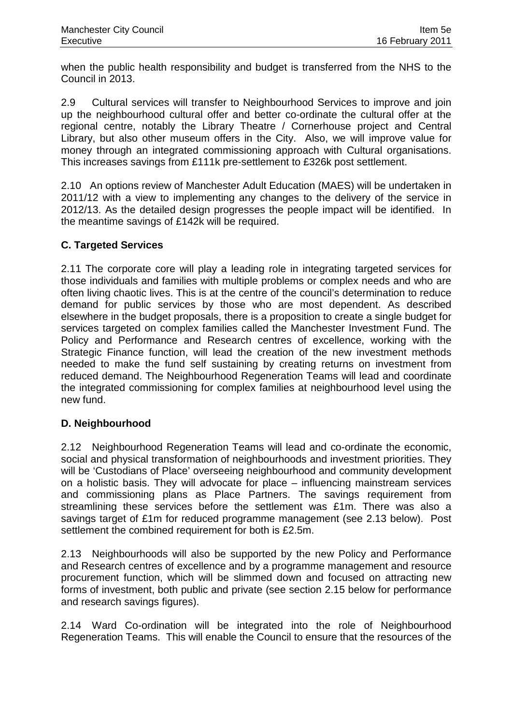when the public health responsibility and budget is transferred from the NHS to the Council in 2013.

2.9 Cultural services will transfer to Neighbourhood Services to improve and join up the neighbourhood cultural offer and better co-ordinate the cultural offer at the regional centre, notably the Library Theatre / Cornerhouse project and Central Library, but also other museum offers in the City. Also, we will improve value for money through an integrated commissioning approach with Cultural organisations. This increases savings from £111k pre-settlement to £326k post settlement.

2.10 An options review of Manchester Adult Education (MAES) will be undertaken in 2011/12 with a view to implementing any changes to the delivery of the service in 2012/13. As the detailed design progresses the people impact will be identified. In the meantime savings of £142k will be required.

## **C. Targeted Services**

2.11 The corporate core will play a leading role in integrating targeted services for those individuals and families with multiple problems or complex needs and who are often living chaotic lives. This is at the centre of the council's determination to reduce demand for public services by those who are most dependent. As described elsewhere in the budget proposals, there is a proposition to create a single budget for services targeted on complex families called the Manchester Investment Fund. The Policy and Performance and Research centres of excellence, working with the Strategic Finance function, will lead the creation of the new investment methods needed to make the fund self sustaining by creating returns on investment from reduced demand. The Neighbourhood Regeneration Teams will lead and coordinate the integrated commissioning for complex families at neighbourhood level using the new fund.

# **D. Neighbourhood**

2.12 Neighbourhood Regeneration Teams will lead and co-ordinate the economic, social and physical transformation of neighbourhoods and investment priorities. They will be 'Custodians of Place' overseeing neighbourhood and community development on a holistic basis. They will advocate for place – influencing mainstream services and commissioning plans as Place Partners. The savings requirement from streamlining these services before the settlement was £1m. There was also a savings target of £1m for reduced programme management (see 2.13 below). Post settlement the combined requirement for both is £2.5m.

2.13 Neighbourhoods will also be supported by the new Policy and Performance and Research centres of excellence and by a programme management and resource procurement function, which will be slimmed down and focused on attracting new forms of investment, both public and private (see section 2.15 below for performance and research savings figures).

2.14 Ward Co-ordination will be integrated into the role of Neighbourhood Regeneration Teams. This will enable the Council to ensure that the resources of the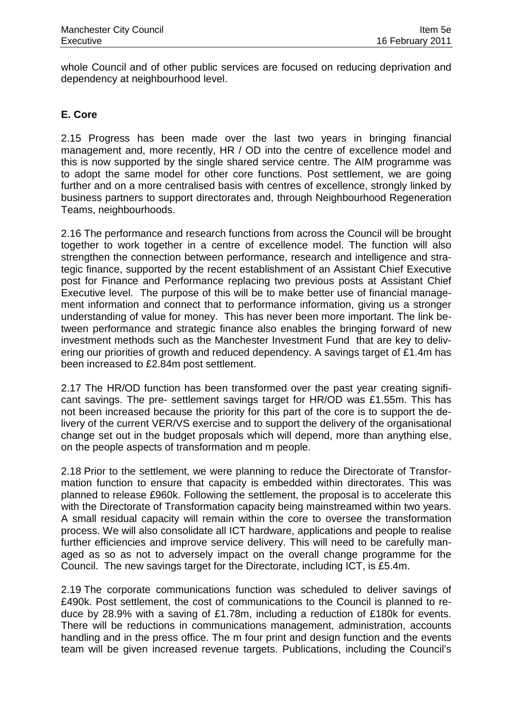whole Council and of other public services are focused on reducing deprivation and dependency at neighbourhood level.

## **E. Core**

2.15 Progress has been made over the last two years in bringing financial management and, more recently, HR / OD into the centre of excellence model and this is now supported by the single shared service centre. The AIM programme was to adopt the same model for other core functions. Post settlement, we are going further and on a more centralised basis with centres of excellence, strongly linked by business partners to support directorates and, through Neighbourhood Regeneration Teams, neighbourhoods.

2.16 The performance and research functions from across the Council will be brought together to work together in a centre of excellence model. The function will also strengthen the connection between performance, research and intelligence and strategic finance, supported by the recent establishment of an Assistant Chief Executive post for Finance and Performance replacing two previous posts at Assistant Chief Executive level. The purpose of this will be to make better use of financial management information and connect that to performance information, giving us a stronger understanding of value for money. This has never been more important. The link between performance and strategic finance also enables the bringing forward of new investment methods such as the Manchester Investment Fund that are key to delivering our priorities of growth and reduced dependency. A savings target of £1.4m has been increased to £2.84m post settlement.

2.17 The HR/OD function has been transformed over the past year creating significant savings. The pre- settlement savings target for HR/OD was £1.55m. This has not been increased because the priority for this part of the core is to support the delivery of the current VER/VS exercise and to support the delivery of the organisational change set out in the budget proposals which will depend, more than anything else, on the people aspects of transformation and m people.

2.18 Prior to the settlement, we were planning to reduce the Directorate of Transformation function to ensure that capacity is embedded within directorates. This was planned to release £960k. Following the settlement, the proposal is to accelerate this with the Directorate of Transformation capacity being mainstreamed within two years. A small residual capacity will remain within the core to oversee the transformation process. We will also consolidate all ICT hardware, applications and people to realise further efficiencies and improve service delivery. This will need to be carefully managed as so as not to adversely impact on the overall change programme for the Council. The new savings target for the Directorate, including ICT, is £5.4m.

2.19 The corporate communications function was scheduled to deliver savings of £490k. Post settlement, the cost of communications to the Council is planned to reduce by 28.9% with a saving of £1.78m, including a reduction of £180k for events. There will be reductions in communications management, administration, accounts handling and in the press office. The m four print and design function and the events team will be given increased revenue targets. Publications, including the Council's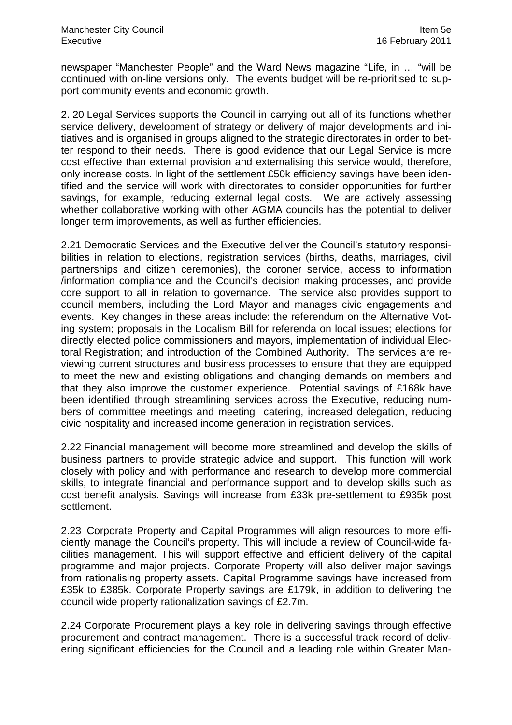newspaper "Manchester People" and the Ward News magazine "Life, in … "will be continued with on-line versions only. The events budget will be re-prioritised to support community events and economic growth.

2. 20 Legal Services supports the Council in carrying out all of its functions whether service delivery, development of strategy or delivery of major developments and initiatives and is organised in groups aligned to the strategic directorates in order to better respond to their needs. There is good evidence that our Legal Service is more cost effective than external provision and externalising this service would, therefore, only increase costs. In light of the settlement £50k efficiency savings have been identified and the service will work with directorates to consider opportunities for further savings, for example, reducing external legal costs. We are actively assessing whether collaborative working with other AGMA councils has the potential to deliver longer term improvements, as well as further efficiencies.

2.21 Democratic Services and the Executive deliver the Council's statutory responsibilities in relation to elections, registration services (births, deaths, marriages, civil partnerships and citizen ceremonies), the coroner service, access to information /information compliance and the Council's decision making processes, and provide core support to all in relation to governance. The service also provides support to council members, including the Lord Mayor and manages civic engagements and events. Key changes in these areas include: the referendum on the Alternative Voting system; proposals in the Localism Bill for referenda on local issues; elections for directly elected police commissioners and mayors, implementation of individual Electoral Registration; and introduction of the Combined Authority. The services are reviewing current structures and business processes to ensure that they are equipped to meet the new and existing obligations and changing demands on members and that they also improve the customer experience. Potential savings of £168k have been identified through streamlining services across the Executive, reducing numbers of committee meetings and meeting catering, increased delegation, reducing civic hospitality and increased income generation in registration services.

2.22 Financial management will become more streamlined and develop the skills of business partners to provide strategic advice and support. This function will work closely with policy and with performance and research to develop more commercial skills, to integrate financial and performance support and to develop skills such as cost benefit analysis. Savings will increase from £33k pre-settlement to £935k post settlement.

2.23 Corporate Property and Capital Programmes will align resources to more efficiently manage the Council's property. This will include a review of Council-wide facilities management. This will support effective and efficient delivery of the capital programme and major projects. Corporate Property will also deliver major savings from rationalising property assets. Capital Programme savings have increased from £35k to £385k. Corporate Property savings are £179k, in addition to delivering the council wide property rationalization savings of £2.7m.

2.24 Corporate Procurement plays a key role in delivering savings through effective procurement and contract management. There is a successful track record of delivering significant efficiencies for the Council and a leading role within Greater Man-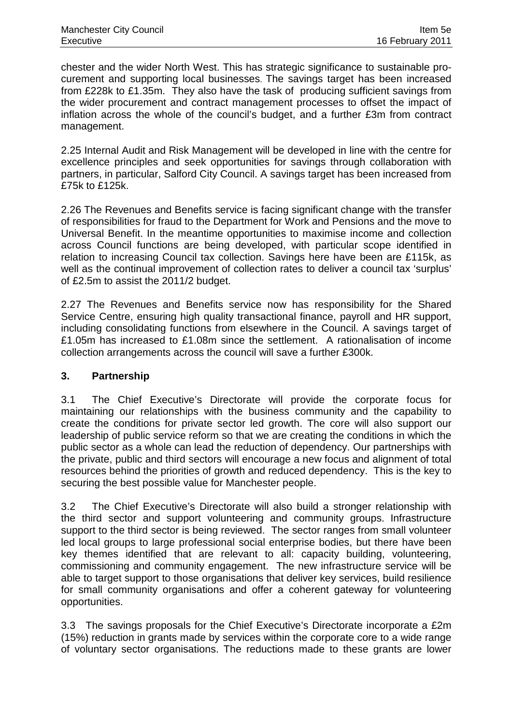chester and the wider North West. This has strategic significance to sustainable procurement and supporting local businesses. The savings target has been increased from £228k to £1.35m. They also have the task of producing sufficient savings from the wider procurement and contract management processes to offset the impact of inflation across the whole of the council's budget, and a further £3m from contract management.

2.25 Internal Audit and Risk Management will be developed in line with the centre for excellence principles and seek opportunities for savings through collaboration with partners, in particular, Salford City Council. A savings target has been increased from £75k to £125k.

2.26 The Revenues and Benefits service is facing significant change with the transfer of responsibilities for fraud to the Department for Work and Pensions and the move to Universal Benefit. In the meantime opportunities to maximise income and collection across Council functions are being developed, with particular scope identified in relation to increasing Council tax collection. Savings here have been are £115k, as well as the continual improvement of collection rates to deliver a council tax 'surplus' of £2.5m to assist the 2011/2 budget.

2.27 The Revenues and Benefits service now has responsibility for the Shared Service Centre, ensuring high quality transactional finance, payroll and HR support, including consolidating functions from elsewhere in the Council. A savings target of £1.05m has increased to £1.08m since the settlement. A rationalisation of income collection arrangements across the council will save a further £300k.

# **3. Partnership**

3.1 The Chief Executive's Directorate will provide the corporate focus for maintaining our relationships with the business community and the capability to create the conditions for private sector led growth. The core will also support our leadership of public service reform so that we are creating the conditions in which the public sector as a whole can lead the reduction of dependency. Our partnerships with the private, public and third sectors will encourage a new focus and alignment of total resources behind the priorities of growth and reduced dependency. This is the key to securing the best possible value for Manchester people.

3.2 The Chief Executive's Directorate will also build a stronger relationship with the third sector and support volunteering and community groups. Infrastructure support to the third sector is being reviewed. The sector ranges from small volunteer led local groups to large professional social enterprise bodies, but there have been key themes identified that are relevant to all: capacity building, volunteering, commissioning and community engagement. The new infrastructure service will be able to target support to those organisations that deliver key services, build resilience for small community organisations and offer a coherent gateway for volunteering opportunities.

3.3 The savings proposals for the Chief Executive's Directorate incorporate a £2m (15%) reduction in grants made by services within the corporate core to a wide range of voluntary sector organisations. The reductions made to these grants are lower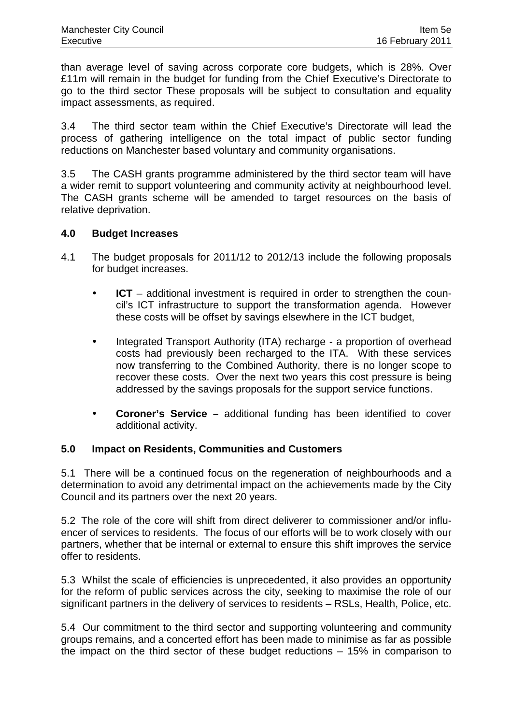than average level of saving across corporate core budgets, which is 28%. Over £11m will remain in the budget for funding from the Chief Executive's Directorate to go to the third sector These proposals will be subject to consultation and equality impact assessments, as required.

3.4 The third sector team within the Chief Executive's Directorate will lead the process of gathering intelligence on the total impact of public sector funding reductions on Manchester based voluntary and community organisations.

3.5 The CASH grants programme administered by the third sector team will have a wider remit to support volunteering and community activity at neighbourhood level. The CASH grants scheme will be amended to target resources on the basis of relative deprivation.

### **4.0 Budget Increases**

- 4.1 The budget proposals for 2011/12 to 2012/13 include the following proposals for budget increases.
	- **ICT** additional investment is required in order to strengthen the council's ICT infrastructure to support the transformation agenda. However these costs will be offset by savings elsewhere in the ICT budget,
	- Integrated Transport Authority (ITA) recharge a proportion of overhead costs had previously been recharged to the ITA. With these services now transferring to the Combined Authority, there is no longer scope to recover these costs. Over the next two years this cost pressure is being addressed by the savings proposals for the support service functions.
	- **Coroner's Service** additional funding has been identified to cover additional activity.

# **5.0 Impact on Residents, Communities and Customers**

5.1 There will be a continued focus on the regeneration of neighbourhoods and a determination to avoid any detrimental impact on the achievements made by the City Council and its partners over the next 20 years.

5.2 The role of the core will shift from direct deliverer to commissioner and/or influencer of services to residents. The focus of our efforts will be to work closely with our partners, whether that be internal or external to ensure this shift improves the service offer to residents.

5.3 Whilst the scale of efficiencies is unprecedented, it also provides an opportunity for the reform of public services across the city, seeking to maximise the role of our significant partners in the delivery of services to residents – RSLs, Health, Police, etc.

5.4 Our commitment to the third sector and supporting volunteering and community groups remains, and a concerted effort has been made to minimise as far as possible the impact on the third sector of these budget reductions – 15% in comparison to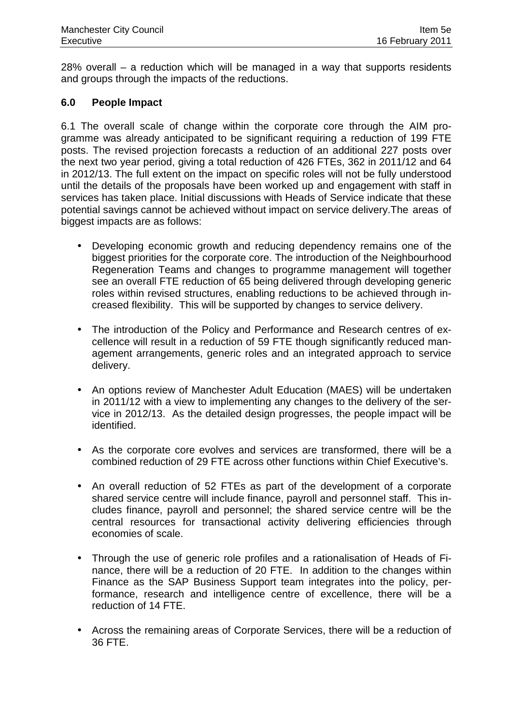28% overall – a reduction which will be managed in a way that supports residents and groups through the impacts of the reductions.

# **6.0 People Impact**

6.1 The overall scale of change within the corporate core through the AIM programme was already anticipated to be significant requiring a reduction of 199 FTE posts. The revised projection forecasts a reduction of an additional 227 posts over the next two year period, giving a total reduction of 426 FTEs, 362 in 2011/12 and 64 in 2012/13. The full extent on the impact on specific roles will not be fully understood until the details of the proposals have been worked up and engagement with staff in services has taken place. Initial discussions with Heads of Service indicate that these potential savings cannot be achieved without impact on service delivery.The areas of biggest impacts are as follows:

- Developing economic growth and reducing dependency remains one of the biggest priorities for the corporate core. The introduction of the Neighbourhood Regeneration Teams and changes to programme management will together see an overall FTE reduction of 65 being delivered through developing generic roles within revised structures, enabling reductions to be achieved through increased flexibility. This will be supported by changes to service delivery.
- The introduction of the Policy and Performance and Research centres of excellence will result in a reduction of 59 FTE though significantly reduced management arrangements, generic roles and an integrated approach to service delivery.
- An options review of Manchester Adult Education (MAES) will be undertaken in 2011/12 with a view to implementing any changes to the delivery of the service in 2012/13. As the detailed design progresses, the people impact will be identified.
- As the corporate core evolves and services are transformed, there will be a combined reduction of 29 FTE across other functions within Chief Executive's.
- An overall reduction of 52 FTEs as part of the development of a corporate shared service centre will include finance, payroll and personnel staff. This includes finance, payroll and personnel; the shared service centre will be the central resources for transactional activity delivering efficiencies through economies of scale.
- Through the use of generic role profiles and a rationalisation of Heads of Finance, there will be a reduction of 20 FTE. In addition to the changes within Finance as the SAP Business Support team integrates into the policy, performance, research and intelligence centre of excellence, there will be a reduction of 14 FTE.
- Across the remaining areas of Corporate Services, there will be a reduction of 36 FTE.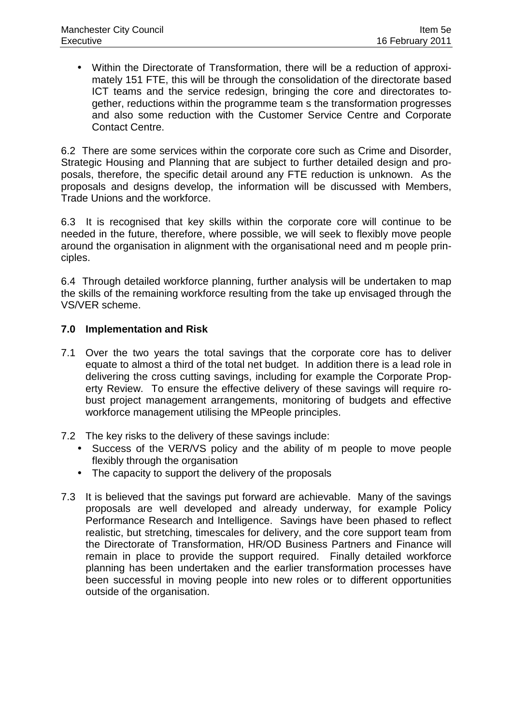• Within the Directorate of Transformation, there will be a reduction of approximately 151 FTE, this will be through the consolidation of the directorate based ICT teams and the service redesign, bringing the core and directorates together, reductions within the programme team s the transformation progresses and also some reduction with the Customer Service Centre and Corporate Contact Centre.

6.2 There are some services within the corporate core such as Crime and Disorder, Strategic Housing and Planning that are subject to further detailed design and proposals, therefore, the specific detail around any FTE reduction is unknown. As the proposals and designs develop, the information will be discussed with Members, Trade Unions and the workforce.

6.3 It is recognised that key skills within the corporate core will continue to be needed in the future, therefore, where possible, we will seek to flexibly move people around the organisation in alignment with the organisational need and m people principles.

6.4 Through detailed workforce planning, further analysis will be undertaken to map the skills of the remaining workforce resulting from the take up envisaged through the VS/VER scheme.

## **7.0 Implementation and Risk**

- 7.1 Over the two years the total savings that the corporate core has to deliver equate to almost a third of the total net budget. In addition there is a lead role in delivering the cross cutting savings, including for example the Corporate Property Review. To ensure the effective delivery of these savings will require robust project management arrangements, monitoring of budgets and effective workforce management utilising the MPeople principles.
- 7.2 The key risks to the delivery of these savings include:
	- Success of the VER/VS policy and the ability of m people to move people flexibly through the organisation
	- The capacity to support the delivery of the proposals
- 7.3 It is believed that the savings put forward are achievable. Many of the savings proposals are well developed and already underway, for example Policy Performance Research and Intelligence. Savings have been phased to reflect realistic, but stretching, timescales for delivery, and the core support team from the Directorate of Transformation, HR/OD Business Partners and Finance will remain in place to provide the support required. Finally detailed workforce planning has been undertaken and the earlier transformation processes have been successful in moving people into new roles or to different opportunities outside of the organisation.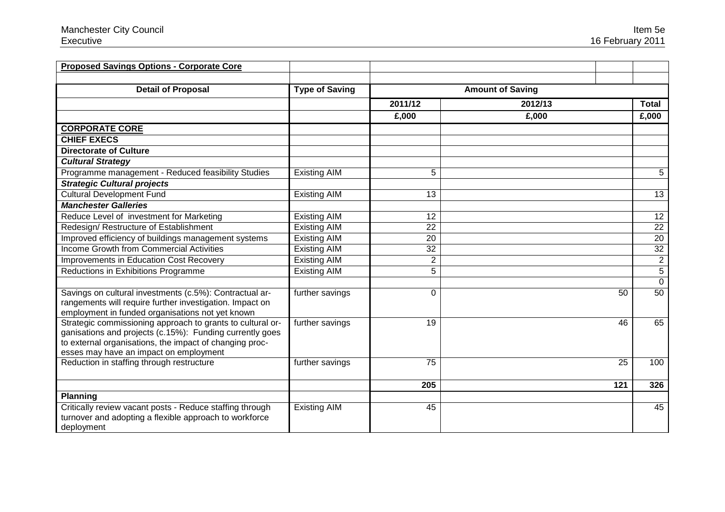| <b>Proposed Savings Options - Corporate Core</b>                                                                                                                                                                            |                       |                 |                         |                 |
|-----------------------------------------------------------------------------------------------------------------------------------------------------------------------------------------------------------------------------|-----------------------|-----------------|-------------------------|-----------------|
| <b>Detail of Proposal</b>                                                                                                                                                                                                   | <b>Type of Saving</b> |                 | <b>Amount of Saving</b> |                 |
|                                                                                                                                                                                                                             |                       | 2011/12         | 2012/13                 | <b>Total</b>    |
|                                                                                                                                                                                                                             |                       | £,000           | £,000                   | £,000           |
| <b>CORPORATE CORE</b>                                                                                                                                                                                                       |                       |                 |                         |                 |
| <b>CHIEF EXECS</b>                                                                                                                                                                                                          |                       |                 |                         |                 |
| <b>Directorate of Culture</b>                                                                                                                                                                                               |                       |                 |                         |                 |
| <b>Cultural Strategy</b>                                                                                                                                                                                                    |                       |                 |                         |                 |
| Programme management - Reduced feasibility Studies                                                                                                                                                                          | <b>Existing AIM</b>   | 5               |                         | 5               |
| <b>Strategic Cultural projects</b>                                                                                                                                                                                          |                       |                 |                         |                 |
| <b>Cultural Development Fund</b>                                                                                                                                                                                            | <b>Existing AIM</b>   | 13              |                         | 13              |
| <b>Manchester Galleries</b>                                                                                                                                                                                                 |                       |                 |                         |                 |
| Reduce Level of investment for Marketing                                                                                                                                                                                    | <b>Existing AIM</b>   | 12              |                         | 12              |
| Redesign/ Restructure of Establishment                                                                                                                                                                                      | <b>Existing AIM</b>   | 22              |                         | 22              |
| Improved efficiency of buildings management systems                                                                                                                                                                         | <b>Existing AIM</b>   | 20              |                         | 20              |
| <b>Income Growth from Commercial Activities</b>                                                                                                                                                                             | <b>Existing AIM</b>   | $\overline{32}$ |                         | $\overline{32}$ |
| Improvements in Education Cost Recovery                                                                                                                                                                                     | <b>Existing AIM</b>   | $\overline{2}$  |                         | $\overline{2}$  |
| Reductions in Exhibitions Programme                                                                                                                                                                                         | <b>Existing AIM</b>   | 5               |                         | 5               |
|                                                                                                                                                                                                                             |                       |                 |                         | $\mathbf 0$     |
| Savings on cultural investments (c.5%): Contractual ar-<br>rangements will require further investigation. Impact on<br>employment in funded organisations not yet known                                                     | further savings       | 0               | 50                      | $\overline{50}$ |
| Strategic commissioning approach to grants to cultural or-<br>ganisations and projects (c.15%): Funding currently goes<br>to external organisations, the impact of changing proc-<br>esses may have an impact on employment | further savings       | 19              | 46                      | 65              |
| Reduction in staffing through restructure                                                                                                                                                                                   | further savings       | 75              | 25                      | 100             |
|                                                                                                                                                                                                                             |                       | 205             | 121                     | 326             |
| <b>Planning</b>                                                                                                                                                                                                             |                       |                 |                         |                 |
| Critically review vacant posts - Reduce staffing through<br>turnover and adopting a flexible approach to workforce<br>deployment                                                                                            | <b>Existing AIM</b>   | 45              |                         | 45              |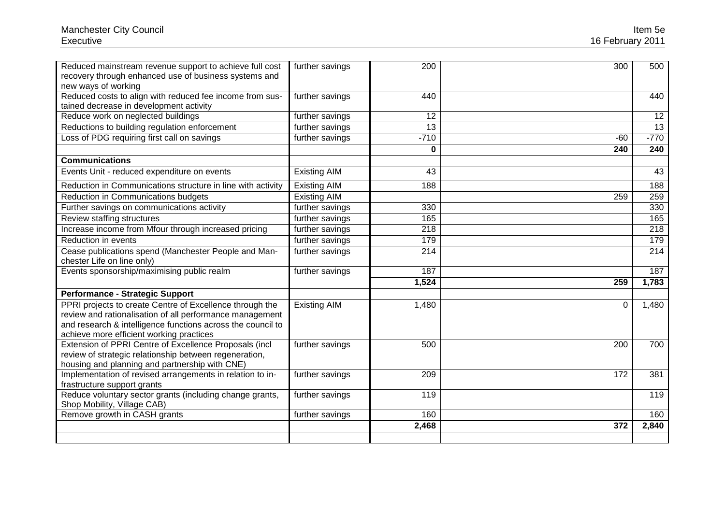| Reduced mainstream revenue support to achieve full cost<br>recovery through enhanced use of business systems and<br>new ways of working | further savings     | 200      | 300      | 500    |
|-----------------------------------------------------------------------------------------------------------------------------------------|---------------------|----------|----------|--------|
| Reduced costs to align with reduced fee income from sus-                                                                                | further savings     | 440      |          | 440    |
| tained decrease in development activity                                                                                                 |                     |          |          |        |
| Reduce work on neglected buildings                                                                                                      | further savings     | 12       |          | 12     |
| Reductions to building regulation enforcement                                                                                           | further savings     | 13       |          | 13     |
| Loss of PDG requiring first call on savings                                                                                             | further savings     | $-710$   | $-60$    | $-770$ |
|                                                                                                                                         |                     | $\bf{0}$ | 240      | 240    |
| <b>Communications</b>                                                                                                                   |                     |          |          |        |
| Events Unit - reduced expenditure on events                                                                                             | <b>Existing AIM</b> | 43       |          | 43     |
| Reduction in Communications structure in line with activity                                                                             | <b>Existing AIM</b> | 188      |          | 188    |
| Reduction in Communications budgets                                                                                                     | <b>Existing AIM</b> |          | 259      | 259    |
| Further savings on communications activity                                                                                              | further savings     | 330      |          | 330    |
| Review staffing structures                                                                                                              | further savings     | 165      |          | 165    |
| Increase income from Mfour through increased pricing                                                                                    | further savings     | 218      |          | 218    |
| Reduction in events                                                                                                                     | further savings     | 179      |          | 179    |
| Cease publications spend (Manchester People and Man-<br>chester Life on line only)                                                      | further savings     | 214      |          | 214    |
| Events sponsorship/maximising public realm                                                                                              | further savings     | 187      |          | 187    |
|                                                                                                                                         |                     | 1,524    | 259      | 1,783  |
| <b>Performance - Strategic Support</b>                                                                                                  |                     |          |          |        |
| PPRI projects to create Centre of Excellence through the                                                                                | <b>Existing AIM</b> | 1,480    | $\Omega$ | 1,480  |
| review and rationalisation of all performance management                                                                                |                     |          |          |        |
| and research & intelligence functions across the council to                                                                             |                     |          |          |        |
| achieve more efficient working practices                                                                                                |                     |          |          |        |
| Extension of PPRI Centre of Excellence Proposals (incl                                                                                  | further savings     | 500      | 200      | 700    |
| review of strategic relationship between regeneration,                                                                                  |                     |          |          |        |
| housing and planning and partnership with CNE)                                                                                          |                     |          |          |        |
| Implementation of revised arrangements in relation to in-                                                                               | further savings     | 209      | 172      | 381    |
| frastructure support grants                                                                                                             |                     |          |          |        |
| Reduce voluntary sector grants (including change grants,                                                                                | further savings     | 119      |          | 119    |
| Shop Mobility, Village CAB)                                                                                                             |                     |          |          |        |
| Remove growth in CASH grants                                                                                                            | further savings     | 160      |          | 160    |
|                                                                                                                                         |                     | 2,468    | 372      | 2,840  |
|                                                                                                                                         |                     |          |          |        |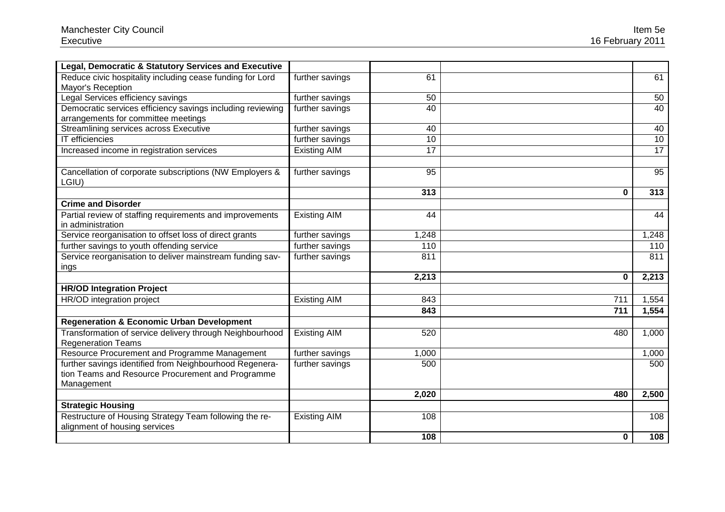| Legal, Democratic & Statutory Services and Executive                                              |                     |       |     |       |
|---------------------------------------------------------------------------------------------------|---------------------|-------|-----|-------|
| Reduce civic hospitality including cease funding for Lord<br>Mayor's Reception                    | further savings     | 61    |     | 61    |
| Legal Services efficiency savings                                                                 | further savings     | 50    |     | 50    |
| Democratic services efficiency savings including reviewing<br>arrangements for committee meetings | further savings     | 40    |     | 40    |
| Streamlining services across Executive                                                            | further savings     | 40    |     | 40    |
| <b>IT</b> efficiencies                                                                            | further savings     | 10    |     | 10    |
| Increased income in registration services                                                         | <b>Existing AIM</b> | 17    |     | 17    |
| Cancellation of corporate subscriptions (NW Employers &<br>LGIU)                                  | further savings     | 95    |     | 95    |
|                                                                                                   |                     | 313   | 0   | 313   |
| <b>Crime and Disorder</b>                                                                         |                     |       |     |       |
| Partial review of staffing requirements and improvements<br>in administration                     | <b>Existing AIM</b> | 44    |     | 44    |
| Service reorganisation to offset loss of direct grants                                            | further savings     | 1,248 |     | 1,248 |
| further savings to youth offending service                                                        | further savings     | 110   |     | 110   |
| Service reorganisation to deliver mainstream funding sav-<br>ings                                 | further savings     | 811   |     | 811   |
|                                                                                                   |                     | 2,213 | 0   | 2,213 |
| <b>HR/OD Integration Project</b>                                                                  |                     |       |     |       |
| HR/OD integration project                                                                         | <b>Existing AIM</b> | 843   | 711 | 1,554 |
|                                                                                                   |                     | 843   | 711 | 1,554 |
| <b>Regeneration &amp; Economic Urban Development</b>                                              |                     |       |     |       |
| Transformation of service delivery through Neighbourhood<br><b>Regeneration Teams</b>             | <b>Existing AIM</b> | 520   | 480 | 1,000 |
| Resource Procurement and Programme Management                                                     | further savings     | 1,000 |     | 1,000 |
| further savings identified from Neighbourhood Regenera-                                           | further savings     | 500   |     | 500   |
| tion Teams and Resource Procurement and Programme                                                 |                     |       |     |       |
| Management                                                                                        |                     |       |     |       |
|                                                                                                   |                     | 2,020 | 480 | 2,500 |
| <b>Strategic Housing</b>                                                                          |                     |       |     |       |
| Restructure of Housing Strategy Team following the re-<br>alignment of housing services           | <b>Existing AIM</b> | 108   |     | 108   |
|                                                                                                   |                     | 108   | 0   | 108   |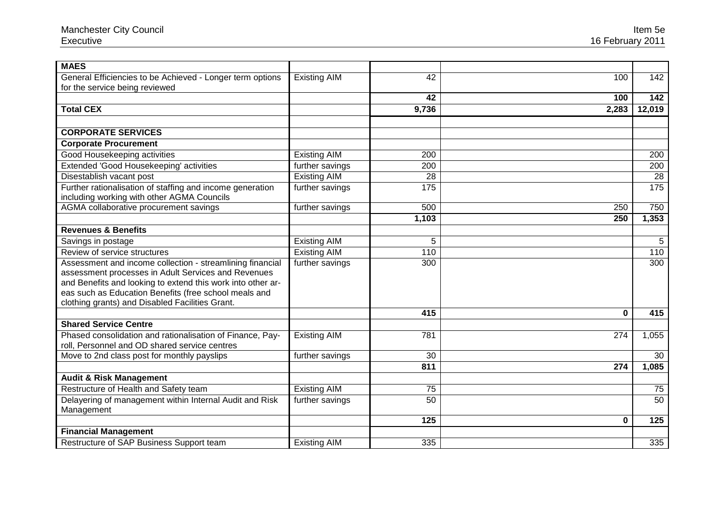| <b>MAES</b>                                                 |                     |       |          |        |
|-------------------------------------------------------------|---------------------|-------|----------|--------|
| General Efficiencies to be Achieved - Longer term options   | <b>Existing AIM</b> | 42    | 100      | 142    |
| for the service being reviewed                              |                     |       |          |        |
|                                                             |                     | 42    | 100      | 142    |
| <b>Total CEX</b>                                            |                     | 9,736 | 2,283    | 12,019 |
|                                                             |                     |       |          |        |
| <b>CORPORATE SERVICES</b>                                   |                     |       |          |        |
| <b>Corporate Procurement</b>                                |                     |       |          |        |
| Good Housekeeping activities                                | <b>Existing AIM</b> | 200   |          | 200    |
| Extended 'Good Housekeeping' activities                     | further savings     | 200   |          | 200    |
| Disestablish vacant post                                    | <b>Existing AIM</b> | 28    |          | 28     |
| Further rationalisation of staffing and income generation   | further savings     | 175   |          | 175    |
| including working with other AGMA Councils                  |                     |       |          |        |
| AGMA collaborative procurement savings                      | further savings     | 500   | 250      | 750    |
|                                                             |                     | 1,103 | 250      | 1,353  |
| <b>Revenues &amp; Benefits</b>                              |                     |       |          |        |
| Savings in postage                                          | <b>Existing AIM</b> | 5     |          | 5      |
| Review of service structures                                | <b>Existing AIM</b> | 110   |          | 110    |
| Assessment and income collection - streamlining financial   | further savings     | 300   |          | 300    |
| assessment processes in Adult Services and Revenues         |                     |       |          |        |
| and Benefits and looking to extend this work into other ar- |                     |       |          |        |
| eas such as Education Benefits (free school meals and       |                     |       |          |        |
| clothing grants) and Disabled Facilities Grant.             |                     |       |          |        |
|                                                             |                     | 415   | $\bf{0}$ | 415    |
| <b>Shared Service Centre</b>                                |                     |       |          |        |
| Phased consolidation and rationalisation of Finance, Pay-   | <b>Existing AIM</b> | 781   | 274      | 1,055  |
| roll, Personnel and OD shared service centres               |                     |       |          |        |
| Move to 2nd class post for monthly payslips                 | further savings     | 30    |          | 30     |
|                                                             |                     | 811   | 274      | 1,085  |
| <b>Audit &amp; Risk Management</b>                          |                     |       |          |        |
| Restructure of Health and Safety team                       | <b>Existing AIM</b> | 75    |          | 75     |
| Delayering of management within Internal Audit and Risk     | further savings     | 50    |          | 50     |
| Management                                                  |                     |       |          |        |
|                                                             |                     | 125   | 0        | 125    |
| <b>Financial Management</b>                                 |                     |       |          |        |
| Restructure of SAP Business Support team                    | <b>Existing AIM</b> | 335   |          | 335    |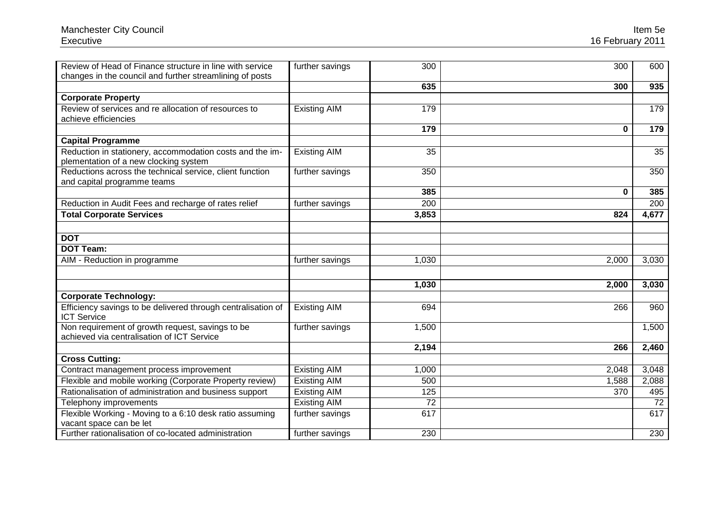| Review of Head of Finance structure in line with service                                          | further savings     | 300             | 300   | 600   |
|---------------------------------------------------------------------------------------------------|---------------------|-----------------|-------|-------|
| changes in the council and further streamlining of posts                                          |                     | 635             | 300   | 935   |
| <b>Corporate Property</b>                                                                         |                     |                 |       |       |
| Review of services and re allocation of resources to<br>achieve efficiencies                      | <b>Existing AIM</b> | 179             |       | 179   |
|                                                                                                   |                     | 179             | 0     | 179   |
| <b>Capital Programme</b>                                                                          |                     |                 |       |       |
| Reduction in stationery, accommodation costs and the im-<br>plementation of a new clocking system | <b>Existing AIM</b> | 35              |       | 35    |
| Reductions across the technical service, client function<br>and capital programme teams           | further savings     | 350             |       | 350   |
|                                                                                                   |                     | 385             | 0     | 385   |
| Reduction in Audit Fees and recharge of rates relief                                              | further savings     | 200             |       | 200   |
| <b>Total Corporate Services</b>                                                                   |                     | 3,853           | 824   | 4,677 |
|                                                                                                   |                     |                 |       |       |
| <b>DOT</b>                                                                                        |                     |                 |       |       |
| <b>DOT Team:</b>                                                                                  |                     |                 |       |       |
| AIM - Reduction in programme                                                                      | further savings     | 1,030           | 2,000 | 3,030 |
|                                                                                                   |                     |                 |       |       |
|                                                                                                   |                     | 1,030           | 2,000 | 3,030 |
| <b>Corporate Technology:</b>                                                                      |                     |                 |       |       |
| Efficiency savings to be delivered through centralisation of<br><b>ICT Service</b>                | <b>Existing AIM</b> | 694             | 266   | 960   |
| Non requirement of growth request, savings to be<br>achieved via centralisation of ICT Service    | further savings     | 1,500           |       | 1,500 |
|                                                                                                   |                     | 2,194           | 266   | 2,460 |
| <b>Cross Cutting:</b>                                                                             |                     |                 |       |       |
| Contract management process improvement                                                           | <b>Existing AIM</b> | 1,000           | 2,048 | 3,048 |
| Flexible and mobile working (Corporate Property review)                                           | <b>Existing AIM</b> | 500             | 1,588 | 2,088 |
| Rationalisation of administration and business support                                            | <b>Existing AIM</b> | 125             | 370   | 495   |
| Telephony improvements                                                                            | <b>Existing AIM</b> | $\overline{72}$ |       | 72    |
| Flexible Working - Moving to a 6:10 desk ratio assuming<br>vacant space can be let                | further savings     | 617             |       | 617   |
| Further rationalisation of co-located administration                                              | further savings     | 230             |       | 230   |